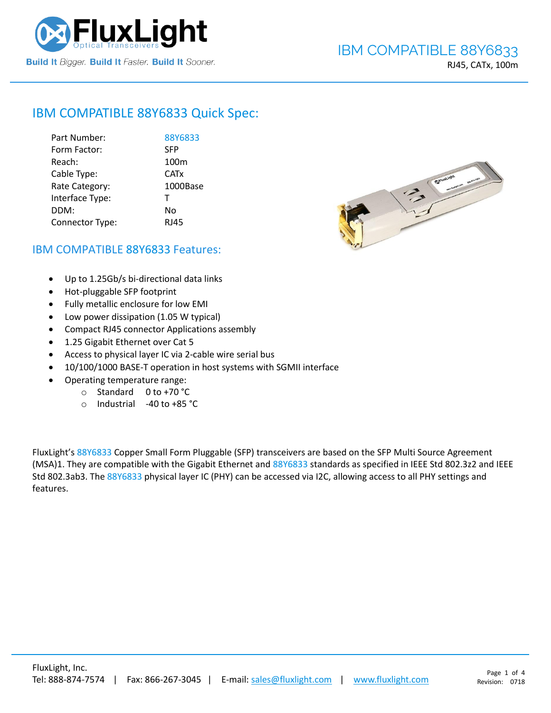

# IBM COMPATIBLE [88Y6833](https://www.fluxlight.com/) Quick Spec:

| Part Number:    | 88Y6833          |
|-----------------|------------------|
| Form Factor:    | <b>SFP</b>       |
| Reach:          | 100 <sub>m</sub> |
| Cable Type:     | <b>CATx</b>      |
| Rate Category:  | 1000Base         |
| Interface Type: | т                |
| DDM:            | No               |
| Connector Type: | <b>RJ45</b>      |



## IBM COMPATIBLE [88Y6833](https://www.fluxlight.com/) Features:

- Up to 1.25Gb/s bi-directional data links
- Hot-pluggable SFP footprint
- Fully metallic enclosure for low EMI
- Low power dissipation (1.05 W typical)
- Compact RJ45 connector Applications assembly
- 1.25 Gigabit Ethernet over Cat 5
- Access to physical layer IC via 2-cable wire serial bus
- 10/100/1000 BASE-T operation in host systems with SGMII interface
- Operating temperature range:
	- o Standard 0 to +70 °C
	- o Industrial -40 to +85 °C

FluxLight's [88Y6833](https://www.fluxlight.com/) Copper Small Form Pluggable (SFP) transceivers are based on the SFP Multi Source Agreement (MSA)1. They are compatible with the Gigabit Ethernet and [88Y6833](https://www.fluxlight.com/) standards as specified in IEEE Std 802.3z2 and IEEE Std 802.3ab3. The [88Y6833](https://www.fluxlight.com/) physical layer IC (PHY) can be accessed via I2C, allowing access to all PHY settings and features.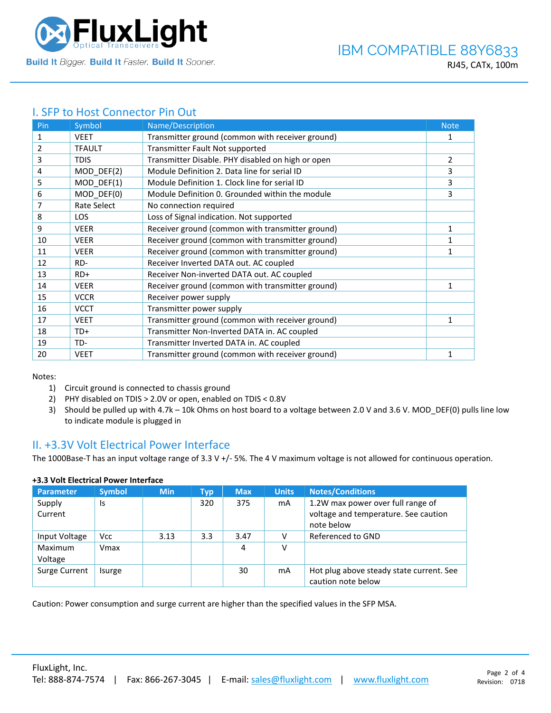

## I. SFP to Host Connector Pin Out

| Pin | Symbol        | Name/Description                                  | <b>Note</b> |
|-----|---------------|---------------------------------------------------|-------------|
| 1   | <b>VEET</b>   | Transmitter ground (common with receiver ground)  | 1           |
| 2   | <b>TFAULT</b> | Transmitter Fault Not supported                   |             |
| 3   | <b>TDIS</b>   | Transmitter Disable. PHY disabled on high or open | 2           |
| 4   | MOD_DEF(2)    | Module Definition 2. Data line for serial ID      | 3           |
| 5   | MOD_DEF(1)    | Module Definition 1. Clock line for serial ID     | 3           |
| 6   | MOD DEF(0)    | Module Definition 0. Grounded within the module   | 3           |
| 7   | Rate Select   | No connection required                            |             |
| 8   | <b>LOS</b>    | Loss of Signal indication. Not supported          |             |
| 9   | <b>VEER</b>   | Receiver ground (common with transmitter ground)  | 1           |
| 10  | <b>VEER</b>   | Receiver ground (common with transmitter ground)  | 1           |
| 11  | <b>VEER</b>   | Receiver ground (common with transmitter ground)  | 1           |
| 12  | RD-           | Receiver Inverted DATA out. AC coupled            |             |
| 13  | $RD+$         | Receiver Non-inverted DATA out. AC coupled        |             |
| 14  | <b>VEER</b>   | Receiver ground (common with transmitter ground)  | 1           |
| 15  | <b>VCCR</b>   | Receiver power supply                             |             |
| 16  | <b>VCCT</b>   | Transmitter power supply                          |             |
| 17  | <b>VEET</b>   | Transmitter ground (common with receiver ground)  | 1           |
| 18  | TD+           | Transmitter Non-Inverted DATA in. AC coupled      |             |
| 19  | TD-           | Transmitter Inverted DATA in. AC coupled          |             |
| 20  | <b>VEET</b>   | Transmitter ground (common with receiver ground)  |             |

Notes:

- 1) Circuit ground is connected to chassis ground
- 2) PHY disabled on TDIS > 2.0V or open, enabled on TDIS < 0.8V
- 3) Should be pulled up with 4.7k 10k Ohms on host board to a voltage between 2.0 V and 3.6 V. MOD\_DEF(0) pulls line low to indicate module is plugged in

### II. +3.3V Volt Electrical Power Interface

The 1000Base-T has an input voltage range of 3.3 V +/- 5%. The 4 V maximum voltage is not allowed for continuous operation.

| <b>Parameter</b>   | <b>Symbol</b> | <b>Min</b> | Typ | <b>Max</b> | <b>Units</b> | <b>Notes/Conditions</b>                                                                 |
|--------------------|---------------|------------|-----|------------|--------------|-----------------------------------------------------------------------------------------|
| Supply<br>Current  | Is            |            | 320 | 375        | mA           | 1.2W max power over full range of<br>voltage and temperature. See caution<br>note below |
| Input Voltage      | <b>Vcc</b>    | 3.13       | 3.3 | 3.47       |              | Referenced to GND                                                                       |
| Maximum<br>Voltage | Vmax          |            |     | 4          | v            |                                                                                         |
| Surge Current      | Isurge        |            |     | 30         | mA           | Hot plug above steady state current. See<br>caution note below                          |

### **+3.3 Volt Electrical Power Interface**

Caution: Power consumption and surge current are higher than the specified values in the SFP MSA.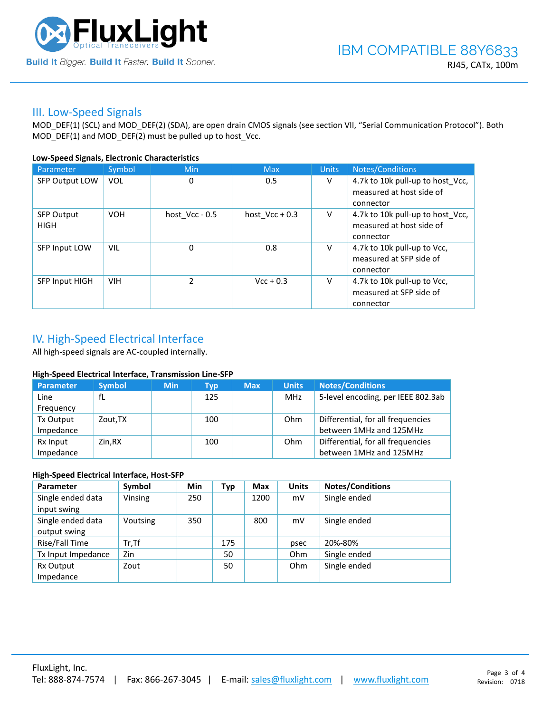

### III. Low-Speed Signals

MOD\_DEF(1) (SCL) and MOD\_DEF(2) (SDA), are open drain CMOS signals (see section VII, "Serial Communication Protocol"). Both MOD\_DEF(1) and MOD\_DEF(2) must be pulled up to host\_Vcc.

### **Low-Speed Signals, Electronic Characteristics**

| Parameter                        | Symbol     | Min              | <b>Max</b>       | <b>Units</b> | Notes/Conditions                                                          |
|----------------------------------|------------|------------------|------------------|--------------|---------------------------------------------------------------------------|
| SFP Output LOW                   | VOL        | 0                | 0.5              | V            | 4.7k to 10k pull-up to host_Vcc,<br>measured at host side of<br>connector |
| <b>SFP Output</b><br><b>HIGH</b> | <b>VOH</b> | host $Vcc - 0.5$ | host $Vcc + 0.3$ | V            | 4.7k to 10k pull-up to host Vcc,<br>measured at host side of<br>connector |
| SFP Input LOW                    | VIL        | $\mathbf 0$      | 0.8              | v            | 4.7k to 10k pull-up to Vcc,<br>measured at SFP side of<br>connector       |
| SFP Input HIGH                   | <b>VIH</b> | $\mathcal{P}$    | $Vcc + 0.3$      | V            | 4.7k to 10k pull-up to Vcc,<br>measured at SFP side of<br>connector       |

# IV. High-Speed Electrical Interface

All high-speed signals are AC-coupled internally.

### **High-Speed Electrical Interface, Transmission Line-SFP**

| Parameter | <b>Symbol</b> | <b>Min</b> | Typ | <b>Max</b> | <b>Units</b> | <b>Notes/Conditions</b>            |
|-----------|---------------|------------|-----|------------|--------------|------------------------------------|
| Line      | fL            |            | 125 |            | MHz          | 5-level encoding, per IEEE 802.3ab |
| Frequency |               |            |     |            |              |                                    |
| Tx Output | Zout, TX      |            | 100 |            | Ohm          | Differential, for all frequencies  |
| Impedance |               |            |     |            |              | between 1MHz and 125MHz            |
| Rx Input  | Zin.RX        |            | 100 |            | Ohm          | Differential, for all frequencies  |
| Impedance |               |            |     |            |              | between 1MHz and 125MHz            |

### **High-Speed Electrical Interface, Host-SFP**

| Parameter          | Symbol   | <b>Min</b> | Typ | <b>Max</b> | <b>Units</b> | <b>Notes/Conditions</b> |
|--------------------|----------|------------|-----|------------|--------------|-------------------------|
| Single ended data  | Vinsing  | 250        |     | 1200       | mV           | Single ended            |
| input swing        |          |            |     |            |              |                         |
| Single ended data  | Voutsing | 350        |     | 800        | mV           | Single ended            |
| output swing       |          |            |     |            |              |                         |
| Rise/Fall Time     | $Tr.$ Tf |            | 175 |            | psec         | 20%-80%                 |
| Tx Input Impedance | Zin      |            | 50  |            | Ohm          | Single ended            |
| Rx Output          | Zout     |            | 50  |            | Ohm          | Single ended            |
| Impedance          |          |            |     |            |              |                         |